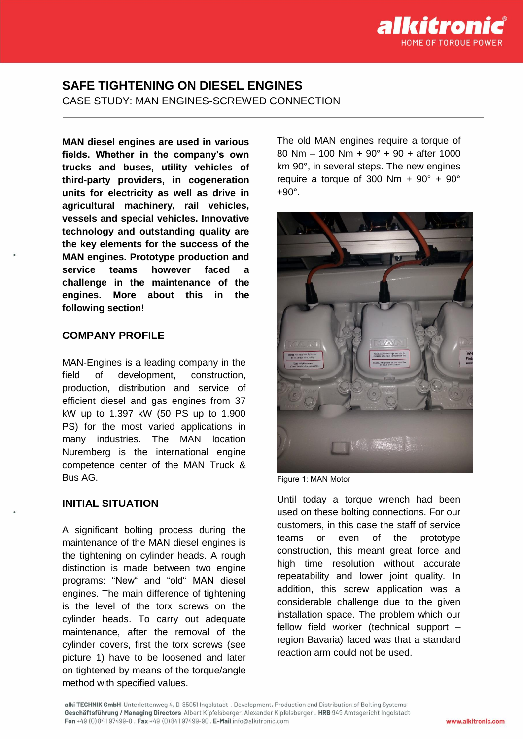

# **SAFE TIGHTENING ON DIESEL ENGINES** CASE STUDY: MAN ENGINES-SCREWED CONNECTION

**MAN diesel engines are used in various fields. Whether in the company's own trucks and buses, utility vehicles of third-party providers, in cogeneration units for electricity as well as drive in agricultural machinery, rail vehicles, vessels and special vehicles. Innovative technology and outstanding quality are the key elements for the success of the MAN engines. Prototype production and service teams however faced a challenge in the maintenance of the engines. More about this in the following section!**

### **COMPANY PROFILE**

MAN-Engines is a leading company in the field of development, construction, production, distribution and service of efficient diesel and gas engines from 37 kW up to 1.397 kW (50 PS up to 1.900 PS) for the most varied applications in many industries. The MAN location Nuremberg is the international engine competence center of the MAN Truck & Bus AG.

#### **INITIAL SITUATION**

A significant bolting process during the maintenance of the MAN diesel engines is the tightening on cylinder heads. A rough distinction is made between two engine programs: "New" and "old" MAN diesel engines. The main difference of tightening is the level of the torx screws on the cylinder heads. To carry out adequate maintenance, after the removal of the cylinder covers, first the torx screws (see picture 1) have to be loosened and later on tightened by means of the torque/angle method with specified values.

The old MAN engines require a torque of 80 Nm – 100 Nm + 90° + 90 + after 1000 km 90°, in several steps. The new engines require a torque of 300 Nm +  $90^\circ$  +  $90^\circ$ +90°.



Figure 1: MAN Motor

Until today a torque wrench had been used on these bolting connections. For our customers, in this case the staff of service teams or even of the prototype construction, this meant great force and high time resolution without accurate repeatability and lower joint quality. In addition, this screw application was a considerable challenge due to the given installation space. The problem which our fellow field worker (technical support – region Bavaria) faced was that a standard reaction arm could not be used.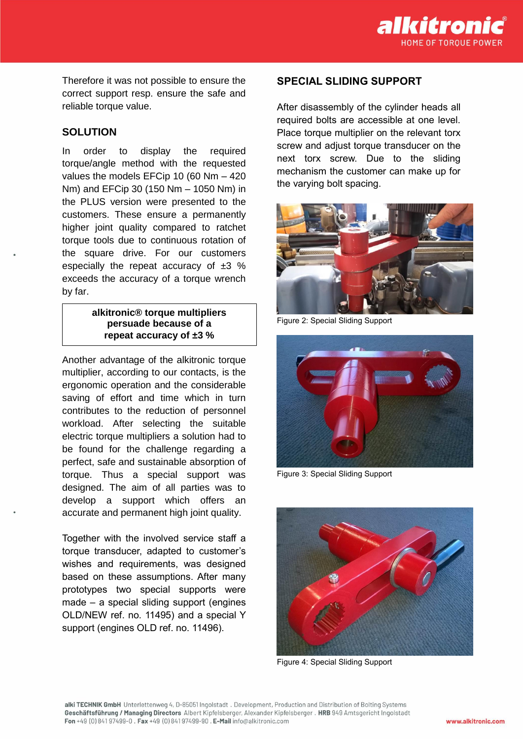

Therefore it was not possible to ensure the correct support resp. ensure the safe and reliable torque value.

#### **SOLUTION**

In order to display the required torque/angle method with the requested values the models EFCip 10 (60 Nm – 420 Nm) and EFCip 30 (150 Nm – 1050 Nm) in the PLUS version were presented to the customers. These ensure a permanently higher joint quality compared to ratchet torque tools due to continuous rotation of the square drive. For our customers especially the repeat accuracy of ±3 % exceeds the accuracy of a torque wrench by far.

### **alkitronic® torque multipliers persuade because of a repeat accuracy of ±3 %**

Another advantage of the alkitronic torque multiplier, according to our contacts, is the ergonomic operation and the considerable saving of effort and time which in turn contributes to the reduction of personnel workload. After selecting the suitable electric torque multipliers a solution had to be found for the challenge regarding a perfect, safe and sustainable absorption of torque. Thus a special support was designed. The aim of all parties was to develop a support which offers an accurate and permanent high joint quality.

Together with the involved service staff a torque transducer, adapted to customer's wishes and requirements, was designed based on these assumptions. After many prototypes two special supports were made – a special sliding support (engines OLD/NEW ref. no. 11495) and a special Y support (engines OLD ref. no. 11496).

## **SPECIAL SLIDING SUPPORT**

After disassembly of the cylinder heads all required bolts are accessible at one level. Place torque multiplier on the relevant torx screw and adjust torque transducer on the next torx screw. Due to the sliding mechanism the customer can make up for the varying bolt spacing.



Figure 2: Special Sliding Support



Figure 3: Special Sliding Support



Figure 4: Special Sliding Support